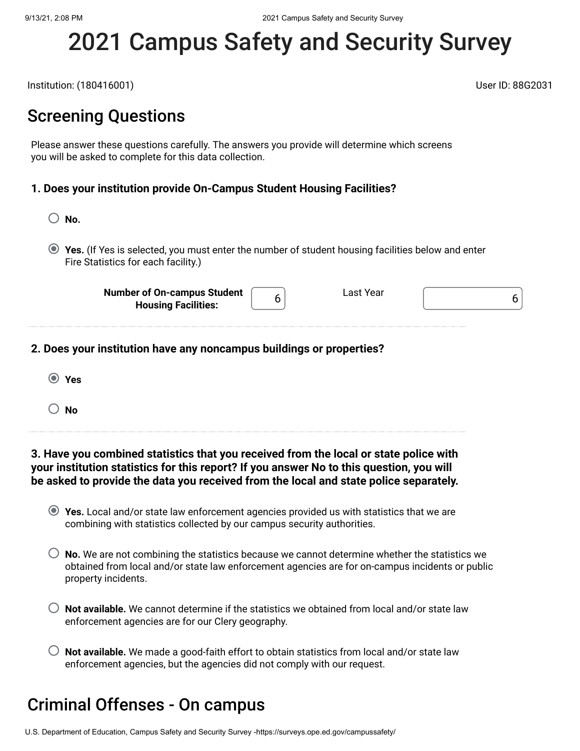# 2021 Campus Safety and Security Survey

Institution: (180416001) User ID: 88G2031

Last Year  $\begin{bmatrix} 6 \end{bmatrix}$ 

### Screening Questions

Please answer these questions carefully. The answers you provide will determine which screens you will be asked to complete for this data collection.

### **1. Does your institution provide On-Campus Student Housing Facilities?**

- **No.**
- **Yes.** (If Yes is selected, you must enter the number of student housing facilities below and enter Fire Statistics for each facility.)

6

**Number of On-campus Student Housing Facilities:**

**2. Does your institution have any noncampus buildings or properties?**

**Yes No**

**3. Have you combined statistics that you received from the local or state police with your institution statistics for this report? If you answer No to this question, you will be asked to provide the data you received from the local and state police separately.**

- **Yes.** Local and/or state law enforcement agencies provided us with statistics that we are combining with statistics collected by our campus security authorities.
- **No.** We are not combining the statistics because we cannot determine whether the statistics we obtained from local and/or state law enforcement agencies are for on-campus incidents or public property incidents.
- **Not available.** We cannot determine if the statistics we obtained from local and/or state law enforcement agencies are for our Clery geography.
- $\bigcirc$  **Not available.** We made a good-faith effort to obtain statistics from local and/or state law enforcement agencies, but the agencies did not comply with our request.

# Criminal Offenses - On campus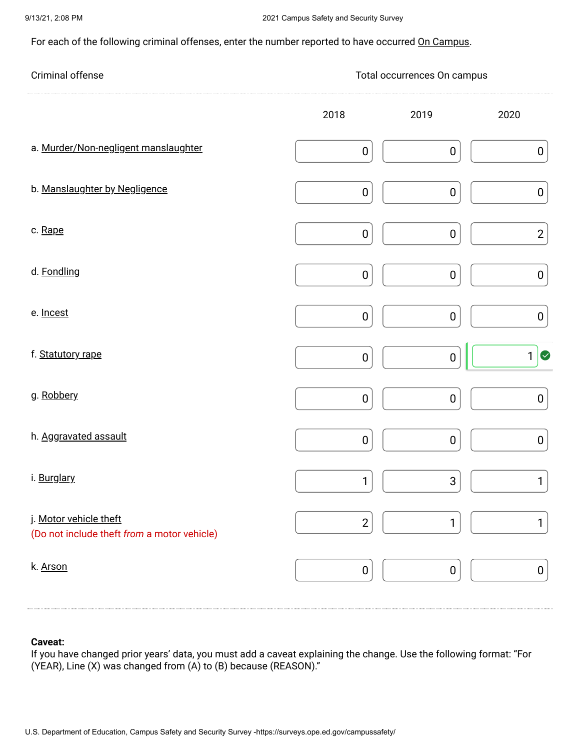For each of the following criminal offenses, enter the number reported to have occurred On Campus.

| Criminal offense                                                      | Total occurrences On campus |                  |                  |  |  |  |  |
|-----------------------------------------------------------------------|-----------------------------|------------------|------------------|--|--|--|--|
|                                                                       | 2018                        | 2019             | 2020             |  |  |  |  |
| a. Murder/Non-negligent manslaughter                                  | $\pmb{0}$                   | $\boldsymbol{0}$ | $\boldsymbol{0}$ |  |  |  |  |
| b. Manslaughter by Negligence                                         | $\pmb{0}$                   | $\pmb{0}$        | $\pmb{0}$        |  |  |  |  |
| c. Rape                                                               | $\pmb{0}$                   | $\pmb{0}$        | $\mathbf{2}$     |  |  |  |  |
| d. Fondling                                                           | $\pmb{0}$                   | $\pmb{0}$        | $\pmb{0}$        |  |  |  |  |
| e. Incest                                                             | $\pmb{0}$                   | $\boldsymbol{0}$ | $\pmb{0}$        |  |  |  |  |
| f. Statutory rape                                                     | $\pmb{0}$                   | $\pmb{0}$        | $1$ $\circ$      |  |  |  |  |
| g. Robbery                                                            | $\pmb{0}$                   | $\pmb{0}$        | $\pmb{0}$        |  |  |  |  |
| h. Aggravated assault                                                 | $\pmb{0}$                   | $\pmb{0}$        | $\pmb{0}$        |  |  |  |  |
| i. Burglary                                                           | 1                           | $\sqrt{3}$       | 1                |  |  |  |  |
| j. Motor vehicle theft<br>(Do not include theft from a motor vehicle) | $\mathbf{2}$                | 1                | $\mathbf{1}$     |  |  |  |  |
| k. Arson                                                              | $\pmb{0}$                   | $\boldsymbol{0}$ | $\boldsymbol{0}$ |  |  |  |  |

### **Caveat:**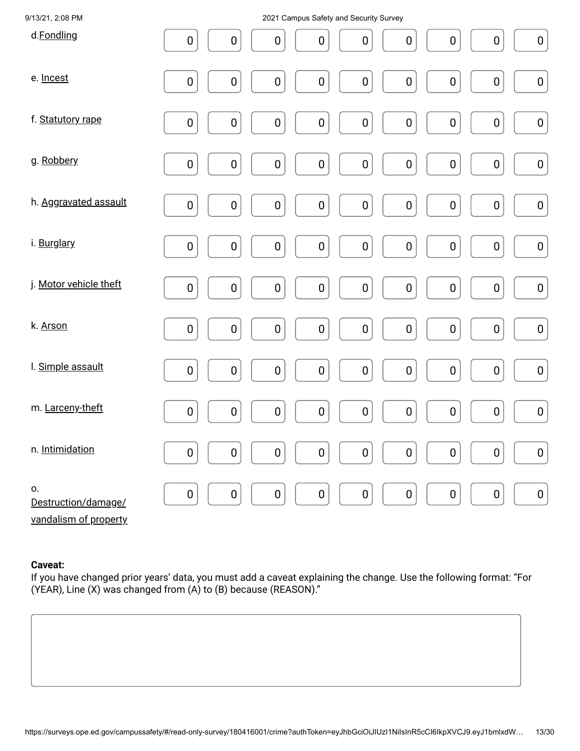| 9/13/21, 2:08 PM                                   | 2021 Campus Safety and Security Survey                                                                                                |
|----------------------------------------------------|---------------------------------------------------------------------------------------------------------------------------------------|
| d.Fondling                                         | $\pmb{0}$<br>$\pmb{0}$<br>$\pmb{0}$<br>0<br>$\pmb{0}$<br>$\boldsymbol{0}$<br>$\boldsymbol{0}$<br>$\boldsymbol{0}$<br>$\boldsymbol{0}$ |
| e. Incest                                          | $\pmb{0}$<br>$\pmb{0}$<br>$\pmb{0}$<br>$\pmb{0}$<br>$\pmb{0}$<br>$\pmb{0}$<br>$\pmb{0}$<br>$\pmb{0}$<br>$\pmb{0}$                     |
| f. Statutory rape                                  | $\pmb{0}$<br>$\pmb{0}$<br>$\pmb{0}$<br>$\pmb{0}$<br>$\pmb{0}$<br>$\pmb{0}$<br>$\pmb{0}$<br>0<br>$\pmb{0}$                             |
| g. Robbery                                         | $\pmb{0}$<br>$\pmb{0}$<br>$\pmb{0}$<br>$\pmb{0}$<br>$\pmb{0}$<br>$\pmb{0}$<br>$\pmb{0}$<br>$\boldsymbol{0}$<br>$\pmb{0}$              |
| h. Aggravated assault                              | $\pmb{0}$<br>$\pmb{0}$<br>$\pmb{0}$<br>$\pmb{0}$<br>$\pmb{0}$<br>$\pmb{0}$<br>0<br>$\pmb{0}$<br>$\pmb{0}$                             |
| i. Burglary                                        | $\pmb{0}$<br>$\pmb{0}$<br>$\pmb{0}$<br>$\pmb{0}$<br>$\pmb{0}$<br>$\pmb{0}$<br>$\pmb{0}$<br>$\pmb{0}$<br>$\pmb{0}$                     |
| j. Motor vehicle theft                             | $\pmb{0}$<br>$\pmb{0}$<br>$\pmb{0}$<br>$\pmb{0}$<br>$\pmb{0}$<br>$\pmb{0}$<br>$\pmb{0}$<br>$\pmb{0}$<br>$\pmb{0}$                     |
| k. Arson                                           | $\pmb{0}$<br>$\pmb{0}$<br>$\pmb{0}$<br>$\pmb{0}$<br>$\pmb{0}$<br>$\pmb{0}$<br>$\pmb{0}$<br>$\pmb{0}$<br>$\pmb{0}$                     |
| I. Simple assault                                  | $\pmb{0}$<br>$\pmb{0}$<br>$\pmb{0}$<br>$\pmb{0}$<br>$\pmb{0}$<br>0<br>$\pmb{0}$<br>$\pmb{0}$<br>$\pmb{0}$                             |
| m. Larceny-theft                                   | $\pmb{0}$<br>$\pmb{0}$<br>$\pmb{0}$<br>$\pmb{0}$<br>$\pmb{0}$<br>$\pmb{0}$<br>$\pmb{0}$<br>$\pmb{0}$<br>$\pmb{0}$                     |
| n. Intimidation                                    | 0<br>0<br>$\boldsymbol{0}$<br>$\pmb{0}$<br>$\mathbf 0$<br>0<br>$\boldsymbol{0}$<br>0<br>$\boldsymbol{0}$                              |
| О.<br>Destruction/damage/<br>vandalism of property | $\pmb{0}$<br>$\pmb{0}$<br>$\pmb{0}$<br>$\pmb{0}$<br>$\pmb{0}$<br>$\pmb{0}$<br>$\pmb{0}$<br>$\pmb{0}$<br>$\pmb{0}$                     |

### **Caveat:**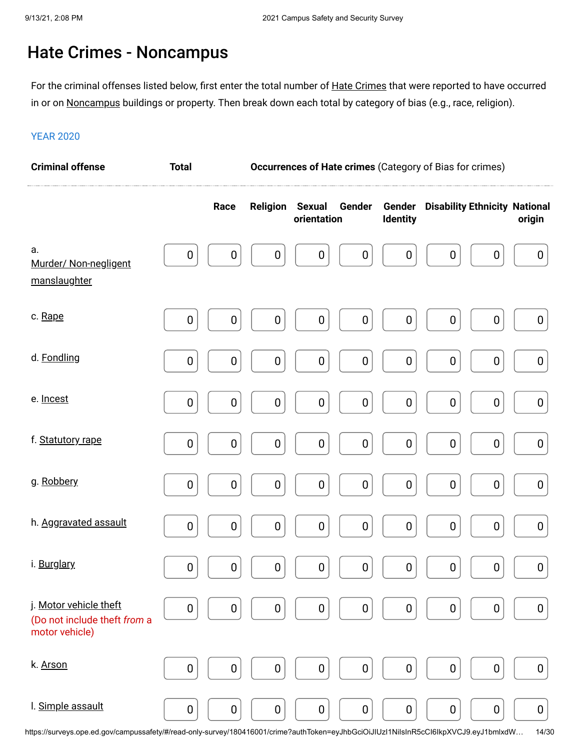# Hate Crimes - Noncampus

For the criminal offenses listed below, first enter the total number of <u>Hate Crimes</u> that were reported to have occurred in or on <u>Noncampus</u> buildings or property. Then break down each total by category of bias (e.g., race, religion).

#### YEAR 2020

| <b>Criminal offense</b>                                                  | <b>Total</b>     |                  | Occurrences of Hate crimes (Category of Bias for crimes) |                              |                  |                           |                  |                                      |                  |
|--------------------------------------------------------------------------|------------------|------------------|----------------------------------------------------------|------------------------------|------------------|---------------------------|------------------|--------------------------------------|------------------|
|                                                                          |                  | Race             | <b>Religion</b>                                          | <b>Sexual</b><br>orientation | Gender           | Gender<br><b>Identity</b> |                  | <b>Disability Ethnicity National</b> | origin           |
| a.<br>Murder/ Non-negligent<br>manslaughter                              | $\boldsymbol{0}$ | $\boldsymbol{0}$ | $\boldsymbol{0}$                                         | $\pmb{0}$                    | $\boldsymbol{0}$ | $\boldsymbol{0}$          | $\boldsymbol{0}$ | $\pmb{0}$                            | $\bf{0}$         |
| c. Rape                                                                  | $\pmb{0}$        | $\pmb{0}$        | $\pmb{0}$                                                | 0                            | $\boldsymbol{0}$ | $\pmb{0}$                 | $\pmb{0}$        | 0                                    | $\boldsymbol{0}$ |
| d. Fondling                                                              | $\boldsymbol{0}$ | $\boldsymbol{0}$ | $\pmb{0}$                                                | $\boldsymbol{0}$             | $\boldsymbol{0}$ | $\pmb{0}$                 | $\pmb{0}$        | $\boldsymbol{0}$                     | $\pmb{0}$        |
| e. Incest                                                                | $\boldsymbol{0}$ | $\pmb{0}$        | $\boldsymbol{0}$                                         | $\boldsymbol{0}$             | $\boldsymbol{0}$ | $\pmb{0}$                 | $\boldsymbol{0}$ | $\pmb{0}$                            | $\boldsymbol{0}$ |
| f. Statutory rape                                                        | $\pmb{0}$        | $\pmb{0}$        | $\pmb{0}$                                                | $\pmb{0}$                    | $\pmb{0}$        | $\pmb{0}$                 | $\bf{0}$         | $\pmb{0}$                            | $\boldsymbol{0}$ |
| g. Robbery                                                               | $\boldsymbol{0}$ | $\pmb{0}$        | $\pmb{0}$                                                | 0                            | $\pmb{0}$        | $\pmb{0}$                 | $\pmb{0}$        | 0                                    | $\boldsymbol{0}$ |
| h. Aggravated assault                                                    | $\pmb{0}$        | $\pmb{0}$        | $\pmb{0}$                                                | $\boldsymbol{0}$             | $\pmb{0}$        | $\pmb{0}$                 | $\pmb{0}$        | $\pmb{0}$                            | $\pmb{0}$        |
| i. Burglary                                                              | $\boldsymbol{0}$ | $\boldsymbol{0}$ | $\boldsymbol{0}$                                         | $\boldsymbol{0}$             | $\boldsymbol{0}$ | $\boldsymbol{0}$          | $\boldsymbol{0}$ | $\boldsymbol{0}$                     | $\boldsymbol{0}$ |
| j. Motor vehicle theft<br>(Do not include theft from a<br>motor vehicle) | $\pmb{0}$        | $\pmb{0}$        | $\mathbf 0$                                              | $\pmb{0}$                    | $\boldsymbol{0}$ | $\boldsymbol{0}$          | $\boldsymbol{0}$ | $\pmb{0}$                            | 0                |
| k. Arson                                                                 | $\pmb{0}$        | $\pmb{0}$        | $\pmb{0}$                                                | $\boldsymbol{0}$             | $\pmb{0}$        | $\pmb{0}$                 | $\boldsymbol{0}$ | $\boldsymbol{0}$                     | $\boldsymbol{0}$ |
| I. Simple assault                                                        | $\boldsymbol{0}$ | $\boldsymbol{0}$ | $\boldsymbol{0}$                                         | 0                            | $\boldsymbol{0}$ | $\boldsymbol{0}$          | $\boldsymbol{0}$ | $\boldsymbol{0}$                     | 0                |

https://surveys.ope.ed.gov/campussafety/#/read-only-survey/180416001/crime?authToken=eyJhbGciOiJIUzI1NiIsInR5cCI6IkpXVCJ9.eyJ1bmlxdW… 14/30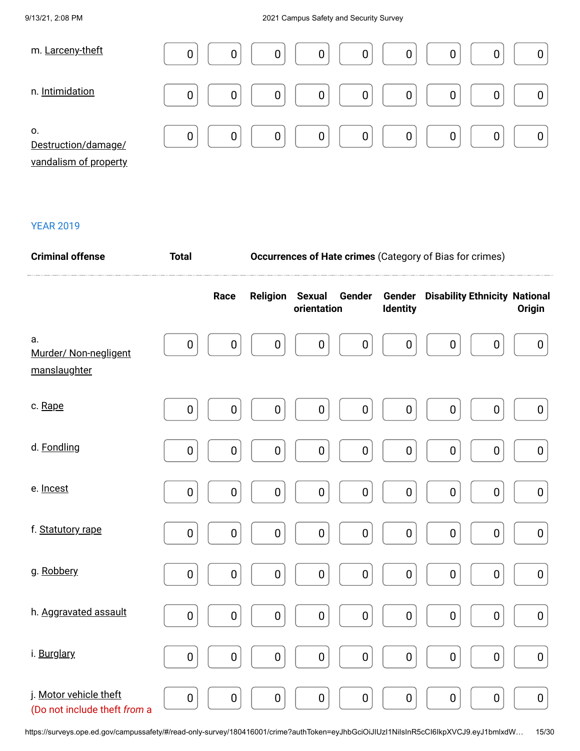| m. Larceny-theft          | 0<br>0<br>0<br>0<br>0<br>0<br>υ |
|---------------------------|---------------------------------|
| n. Intimidation           | 0<br>0<br>0<br>0<br>0<br>0      |
| 0.<br>Destruction/damage/ | 0<br>0<br>0<br>0<br>0<br>0      |

vandalism of property

| <b>Criminal offense</b>                                | <b>Total</b> |           | <b>Occurrences of Hate crimes (Category of Bias for crimes)</b> |                                        |                           |                                      |               |  |  |
|--------------------------------------------------------|--------------|-----------|-----------------------------------------------------------------|----------------------------------------|---------------------------|--------------------------------------|---------------|--|--|
|                                                        |              | Race      | Religion                                                        | <b>Sexual</b><br>Gender<br>orientation | Gender<br><b>Identity</b> | <b>Disability Ethnicity National</b> | <b>Origin</b> |  |  |
| a.<br>Murder/ Non-negligent<br>manslaughter            | $\pmb{0}$    | $\pmb{0}$ | $\boldsymbol{0}$                                                | $\pmb{0}$<br>$\boldsymbol{0}$          | $\pmb{0}$                 | $\pmb{0}$<br>$\boldsymbol{0}$        | $\pmb{0}$     |  |  |
| c. Rape                                                | $\pmb{0}$    | $\pmb{0}$ | $\pmb{0}$                                                       | $\pmb{0}$<br>$\pmb{0}$                 | $\pmb{0}$                 | $\pmb{0}$<br>$\pmb{0}$               | $\pmb{0}$     |  |  |
| d. Fondling                                            | $\pmb{0}$    | $\pmb{0}$ | $\pmb{0}$                                                       | $\pmb{0}$<br>$\pmb{0}$                 | $\pmb{0}$                 | $\pmb{0}$<br>$\pmb{0}$               | $\pmb{0}$     |  |  |
| e. Incest                                              | $\pmb{0}$    | $\pmb{0}$ | $\pmb{0}$                                                       | $\pmb{0}$<br>$\pmb{0}$                 | $\pmb{0}$                 | $\pmb{0}$<br>$\pmb{0}$               | $\bf{0}$      |  |  |
| f. Statutory rape                                      | $\pmb{0}$    | $\pmb{0}$ | $\pmb{0}$                                                       | $\pmb{0}$<br>$\pmb{0}$                 | $\pmb{0}$                 | $\pmb{0}$<br>$\pmb{0}$               | $\pmb{0}$     |  |  |
| g. Robbery                                             | $\pmb{0}$    | $\pmb{0}$ | $\pmb{0}$                                                       | $\pmb{0}$<br>$\pmb{0}$                 | $\pmb{0}$                 | $\pmb{0}$<br>$\pmb{0}$               | $\pmb{0}$     |  |  |
| h. Aggravated assault                                  | $\pmb{0}$    | $\pmb{0}$ | $\pmb{0}$                                                       | $\pmb{0}$<br>$\pmb{0}$                 | $\pmb{0}$                 | $\pmb{0}$<br>$\pmb{0}$               | $\pmb{0}$     |  |  |
| i. Burglary                                            | $\pmb{0}$    | $\pmb{0}$ | $\pmb{0}$                                                       | $\pmb{0}$<br>$\pmb{0}$                 | $\pmb{0}$                 | $\pmb{0}$<br>$\pmb{0}$               | $\pmb{0}$     |  |  |
| j. Motor vehicle theft<br>(Do not include theft from a | $\mathbf 0$  | $\pmb{0}$ | $\pmb{0}$                                                       | $\pmb{0}$<br>$\pmb{0}$                 | $\pmb{0}$                 | $\pmb{0}$<br>$\pmb{0}$               | $\mathbf 0$   |  |  |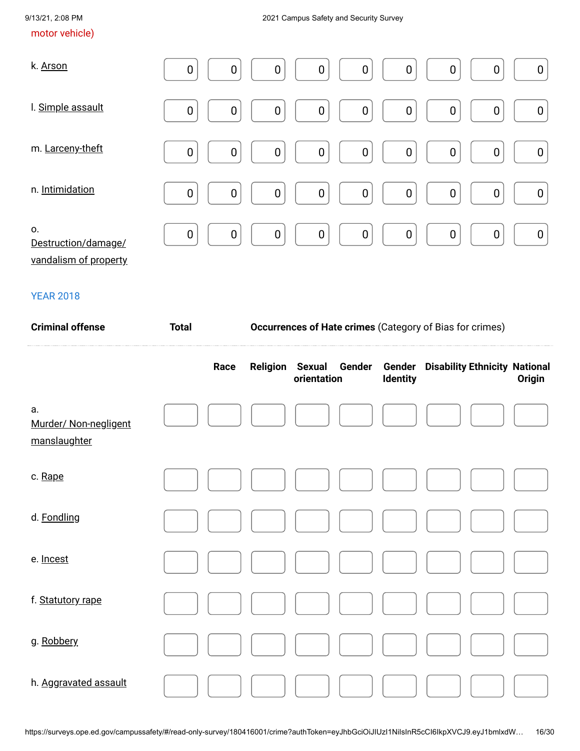### motor vehicle)

| k. Arson                                           | $\boldsymbol{0}$<br>$\boldsymbol{0}$<br>$\boldsymbol{0}$<br>$\boldsymbol{0}$<br>0<br>$\boldsymbol{0}$<br>0                     | $\boldsymbol{0}$<br>0                |
|----------------------------------------------------|--------------------------------------------------------------------------------------------------------------------------------|--------------------------------------|
| I. Simple assault                                  | $\boldsymbol{0}$<br>$\boldsymbol{0}$<br>$\boldsymbol{0}$<br>0<br>$\boldsymbol{0}$<br>$\boldsymbol{0}$<br>$\boldsymbol{0}$      | $\boldsymbol{0}$<br>$\boldsymbol{0}$ |
| m. Larceny-theft                                   | $\mathbf 0$<br>$\boldsymbol{0}$<br>$\boldsymbol{0}$<br>$\mathbf 0$<br>$\mathbf 0$<br>$\mathbf 0$<br>$\boldsymbol{0}$           | $\boldsymbol{0}$<br>$\boldsymbol{0}$ |
| n. Intimidation                                    | $\boldsymbol{0}$<br>$\mathbf 0$<br>$\mathbf 0$<br>$\boldsymbol{0}$<br>$\mathbf 0$<br>$\mathbf 0$<br>$\mathbf 0$                | $\pmb{0}$<br>$\boldsymbol{0}$        |
| 0.<br>Destruction/damage/<br>vandalism of property | $\boldsymbol{0}$<br>$\boldsymbol{0}$<br>$\boldsymbol{0}$<br>$\mathbf 0$<br>$\mathbf 0$<br>$\boldsymbol{0}$<br>$\boldsymbol{0}$ | $\pmb{0}$<br>$\boldsymbol{0}$        |

| <b>Criminal offense</b>                     | <b>Total</b> |  | Occurrences of Hate crimes (Category of Bias for crimes) |                       |        |                           |                                      |  |        |  |
|---------------------------------------------|--------------|--|----------------------------------------------------------|-----------------------|--------|---------------------------|--------------------------------------|--|--------|--|
|                                             | Race         |  | <b>Religion</b>                                          | Sexual<br>orientation | Gender | Gender<br><b>Identity</b> | <b>Disability Ethnicity National</b> |  | Origin |  |
| a.<br>Murder/ Non-negligent<br>manslaughter |              |  |                                                          |                       |        |                           |                                      |  |        |  |
| c. Rape                                     |              |  |                                                          |                       |        |                           |                                      |  |        |  |
| d. Fondling                                 |              |  |                                                          |                       |        |                           |                                      |  |        |  |
| e. Incest                                   |              |  |                                                          |                       |        |                           |                                      |  |        |  |
| f. Statutory rape                           |              |  |                                                          |                       |        |                           |                                      |  |        |  |
| g. Robbery                                  |              |  |                                                          |                       |        |                           |                                      |  |        |  |
| h. Aggravated assault                       |              |  |                                                          |                       |        |                           |                                      |  |        |  |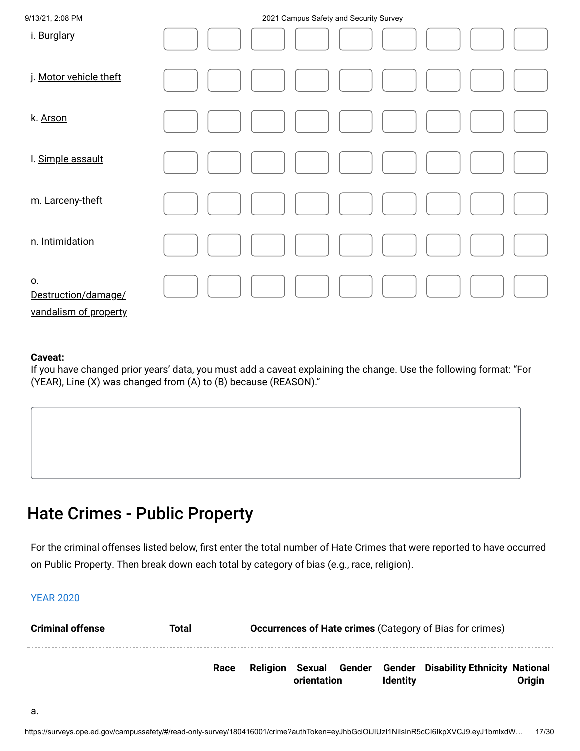| 9/13/21, 2:08 PM                                   | 2021 Campus Safety and Security Survey |
|----------------------------------------------------|----------------------------------------|
| i. Burglary                                        |                                        |
| j. Motor vehicle theft                             |                                        |
| k. Arson                                           |                                        |
| I. Simple assault                                  |                                        |
| m. Larceny-theft                                   |                                        |
| n. Intimidation                                    |                                        |
| О.<br>Destruction/damage/<br>vandalism of property |                                        |

#### **Caveat:**

If you have changed prior years' data, you must add a caveat explaining the change. Use the following format: "For (YEAR), Line (X) was changed from (A) to (B) because (REASON)."

# Hate Crimes - Public Property

For the criminal offenses listed below, first enter the total number of <u>Hate Crimes</u> that were reported to have occurred on <u>Public Property</u>. Then break down each total by category of bias (e.g., race, religion).

| <b>Criminal offense</b> | Total |      | <b>Occurrences of Hate crimes (Category of Bias for crimes)</b> |             |  |                 |                                                    |        |
|-------------------------|-------|------|-----------------------------------------------------------------|-------------|--|-----------------|----------------------------------------------------|--------|
|                         |       | Race | Religion                                                        | orientation |  | <b>Identity</b> | Sexual Gender Gender Disability Ethnicity National | Origin |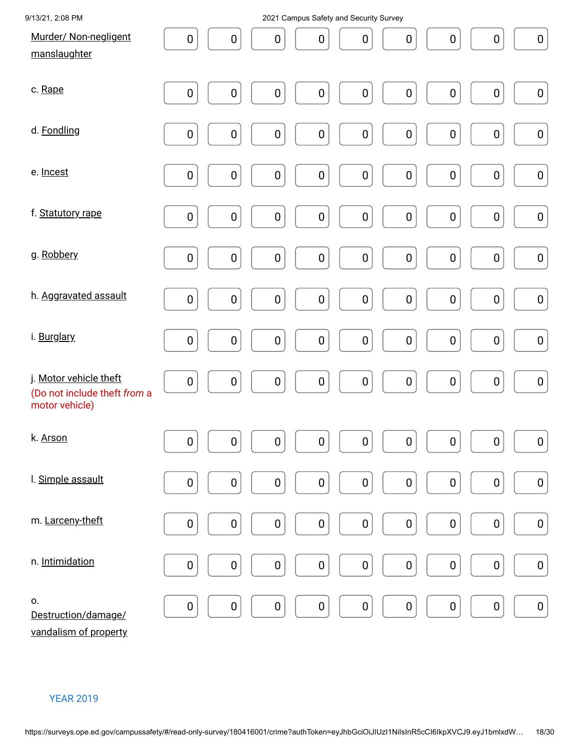| 9/13/21, 2:08 PM                                                         | 2021 Campus Safety and Security Survey                                                                            |
|--------------------------------------------------------------------------|-------------------------------------------------------------------------------------------------------------------|
| Murder/ Non-negligent<br>manslaughter                                    | $\pmb{0}$<br>$\pmb{0}$<br>0<br>$\pmb{0}$<br>$\pmb{0}$<br>$\pmb{0}$<br>$\pmb{0}$<br>$\pmb{0}$<br>$\pmb{0}$         |
| c. Rape                                                                  | $\pmb{0}$<br>$\pmb{0}$<br>$\pmb{0}$<br>$\pmb{0}$<br>$\pmb{0}$<br>$\pmb{0}$<br>$\pmb{0}$<br>$\pmb{0}$<br>$\pmb{0}$ |
| d. Fondling                                                              | $\pmb{0}$<br>$\pmb{0}$<br>$\pmb{0}$<br>$\pmb{0}$<br>$\pmb{0}$<br>$\pmb{0}$<br>$\pmb{0}$<br>${\bf 0}$<br>$\pmb{0}$ |
| e. Incest                                                                | $\pmb{0}$<br>$\pmb{0}$<br>$\pmb{0}$<br>$\pmb{0}$<br>$\pmb{0}$<br>$\pmb{0}$<br>$\pmb{0}$<br>$\pmb{0}$<br>$\pmb{0}$ |
| f. Statutory rape                                                        | $\pmb{0}$<br>$\pmb{0}$<br>$\pmb{0}$<br>$\pmb{0}$<br>$\pmb{0}$<br>$\pmb{0}$<br>$\pmb{0}$<br>$\pmb{0}$<br>$\pmb{0}$ |
| g. Robbery                                                               | $\pmb{0}$<br>${\bf 0}$<br>$\pmb{0}$<br>$\pmb{0}$<br>$\pmb{0}$<br>$\pmb{0}$<br>$\pmb{0}$<br>$\pmb{0}$<br>$\pmb{0}$ |
| h. Aggravated assault                                                    | $\pmb{0}$<br>$\pmb{0}$<br>${\bf 0}$<br>$\pmb{0}$<br>$\pmb{0}$<br>$\pmb{0}$<br>$\pmb{0}$<br>$\pmb{0}$<br>$\pmb{0}$ |
| i. Burglary                                                              | $\pmb{0}$<br>$\pmb{0}$<br>$\pmb{0}$<br>$\pmb{0}$<br>$\pmb{0}$<br>$\pmb{0}$<br>$\pmb{0}$<br>$\pmb{0}$<br>$\pmb{0}$ |
| j. Motor vehicle theft<br>(Do not include theft from a<br>motor vehicle) | $\pmb{0}$<br>${\bf 0}$<br>$\pmb{0}$<br>$\pmb{0}$<br>$\pmb{0}$<br>$\pmb{0}$<br>$\pmb{0}$<br>$\pmb{0}$<br>$\pmb{0}$ |
| k. Arson                                                                 | $\pmb{0}$<br>$\pmb{0}$<br>$\pmb{0}$<br>$\pmb{0}$<br>$\pmb{0}$<br>$\pmb{0}$<br>$\pmb{0}$<br>${\bf 0}$<br>$\pmb{0}$ |
| I. Simple assault                                                        | $\pmb{0}$<br>${\bf 0}$<br>$\pmb{0}$<br>$\pmb{0}$<br>$\pmb{0}$<br>$\pmb{0}$<br>$\pmb{0}$<br>$\pmb{0}$<br>$\pmb{0}$ |
| m. Larceny-theft                                                         | $\pmb{0}$<br>$\pmb{0}$<br>$\pmb{0}$<br>$\pmb{0}$<br>$\pmb{0}$<br>$\pmb{0}$<br>$\pmb{0}$<br>$\pmb{0}$<br>$\pmb{0}$ |
| n. Intimidation                                                          | $\pmb{0}$<br>$\pmb{0}$<br>$\pmb{0}$<br>$\pmb{0}$<br>$\pmb{0}$<br>$\pmb{0}$<br>$\pmb{0}$<br>$\pmb{0}$<br>$\pmb{0}$ |
| О.<br>Destruction/damage/<br>vandalism of property                       | $\pmb{0}$<br>$\pmb{0}$<br>$\pmb{0}$<br>$\pmb{0}$<br>$\pmb{0}$<br>$\pmb{0}$<br>$\pmb{0}$<br>$\pmb{0}$<br>$\pmb{0}$ |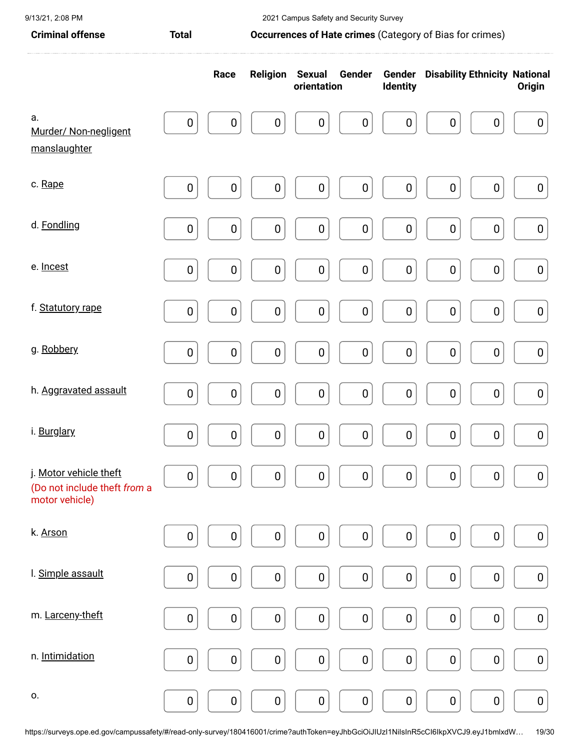| <b>Criminal offense</b>                                                  | Occurrences of Hate crimes (Category of Bias for crimes)<br><b>Total</b> |                  |                        |                                      |                  |                                             |                  |
|--------------------------------------------------------------------------|--------------------------------------------------------------------------|------------------|------------------------|--------------------------------------|------------------|---------------------------------------------|------------------|
|                                                                          |                                                                          | Race             | <b>Religion Sexual</b> | Gender<br>orientation                | <b>Identity</b>  | <b>Gender</b> Disability Ethnicity National | <b>Origin</b>    |
| a.<br>Murder/ Non-negligent<br>manslaughter                              | $\boldsymbol{0}$                                                         | $\boldsymbol{0}$ | $\boldsymbol{0}$       | $\boldsymbol{0}$<br>$\boldsymbol{0}$ | $\boldsymbol{0}$ | $\boldsymbol{0}$<br>$\boldsymbol{0}$        | $\pmb{0}$        |
| c. Rape                                                                  | $\pmb{0}$                                                                | $\pmb{0}$        | $\pmb{0}$              | $\pmb{0}$<br>$\pmb{0}$               | $\pmb{0}$        | $\pmb{0}$<br>$\pmb{0}$                      | $\boldsymbol{0}$ |
| d. Fondling                                                              | $\pmb{0}$                                                                | $\pmb{0}$        | $\pmb{0}$              | $\pmb{0}$<br>0                       | $\pmb{0}$        | $\pmb{0}$<br>0                              | $\boldsymbol{0}$ |
| e. Incest                                                                | $\mathbf 0$                                                              | $\mathbf 0$      | $\pmb{0}$              | $\mathbf 0$<br>$\pmb{0}$             | $\pmb{0}$        | $\mathbf 0$<br>$\boldsymbol{0}$             | $\pmb{0}$        |
| f. Statutory rape                                                        | $\pmb{0}$                                                                | $\pmb{0}$        | $\pmb{0}$              | $\pmb{0}$<br>$\pmb{0}$               | $\pmb{0}$        | $\boldsymbol{0}$<br>$\pmb{0}$               | $\pmb{0}$        |
| g. Robbery                                                               | $\pmb{0}$                                                                | $\pmb{0}$        | $\pmb{0}$              | $\pmb{0}$<br>$\pmb{0}$               | $\pmb{0}$        | $\pmb{0}$<br>$\boldsymbol{0}$               | $\boldsymbol{0}$ |
| h. Aggravated assault                                                    | $\pmb{0}$                                                                | $\pmb{0}$        | $\pmb{0}$              | $\pmb{0}$<br>$\pmb{0}$               | $\pmb{0}$        | $\pmb{0}$<br>$\pmb{0}$                      | $\pmb{0}$        |
| i. Burglary                                                              | $\pmb{0}$                                                                | $\pmb{0}$        | $\pmb{0}$              | $\pmb{0}$<br>$\pmb{0}$               | $\pmb{0}$        | $\pmb{0}$<br>$\boldsymbol{0}$               | $\pmb{0}$        |
| j. Motor vehicle theft<br>(Do not include theft from a<br>motor vehicle) | $\pmb{0}$                                                                | $\pmb{0}$        | $\pmb{0}$              | $\pmb{0}$<br>$\pmb{0}$               | $\pmb{0}$        | $\pmb{0}$<br>$\pmb{0}$                      | $\boldsymbol{0}$ |
| k. Arson                                                                 | $\pmb{0}$                                                                | $\pmb{0}$        | $\pmb{0}$              | $\pmb{0}$<br>$\pmb{0}$               | $\pmb{0}$        | $\pmb{0}$<br>$\pmb{0}$                      | $\pmb{0}$        |
| I. Simple assault                                                        | $\pmb{0}$                                                                | $\pmb{0}$        | $\pmb{0}$              | $\pmb{0}$<br>$\pmb{0}$               | $\pmb{0}$        | $\mathbf 0$<br>$\boldsymbol{0}$             | $\boldsymbol{0}$ |
| m. Larceny-theft                                                         | $\pmb{0}$                                                                | $\pmb{0}$        | $\pmb{0}$              | $\pmb{0}$<br>$\pmb{0}$               | $\pmb{0}$        | $\pmb{0}$<br>$\boldsymbol{0}$               | $\boldsymbol{0}$ |
| n. Intimidation                                                          | $\pmb{0}$                                                                | $\pmb{0}$        | $\pmb{0}$              | $\pmb{0}$<br>$\pmb{0}$               | $\pmb{0}$        | $\pmb{0}$<br>$\pmb{0}$                      | $\pmb{0}$        |
| 0.                                                                       | $\pmb{0}$                                                                | $\pmb{0}$        | $\pmb{0}$              | $\pmb{0}$<br>$\pmb{0}$               | $\pmb{0}$        | $\pmb{0}$<br>$\pmb{0}$                      | $\boldsymbol{0}$ |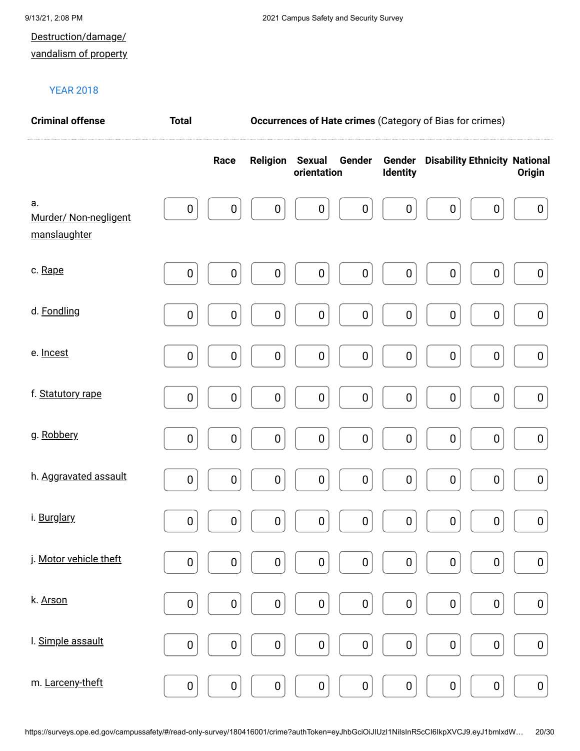# Destruction/damage/

### vandalism of property

| <b>Criminal offense</b>                     | <b>Total</b> |           | <b>Occurrences of Hate crimes (Category of Bias for crimes)</b> |                       |                  |                           |                                      |           |                  |  |
|---------------------------------------------|--------------|-----------|-----------------------------------------------------------------|-----------------------|------------------|---------------------------|--------------------------------------|-----------|------------------|--|
|                                             |              | Race      | <b>Religion</b>                                                 | Sexual<br>orientation | Gender           | Gender<br><b>Identity</b> | <b>Disability Ethnicity National</b> |           | <b>Origin</b>    |  |
| a.<br>Murder/ Non-negligent<br>manslaughter | $\pmb{0}$    | $\pmb{0}$ | $\boldsymbol{0}$                                                | $\boldsymbol{0}$      | $\boldsymbol{0}$ | $\boldsymbol{0}$          | $\boldsymbol{0}$                     | $\pmb{0}$ | $\boldsymbol{0}$ |  |
| c. Rape                                     | $\pmb{0}$    | 0         | 0                                                               | $\pmb{0}$             | $\pmb{0}$        | $\boldsymbol{0}$          | $\boldsymbol{0}$                     | $\pmb{0}$ | $\boldsymbol{0}$ |  |
| d. Fondling                                 | $\pmb{0}$    | $\pmb{0}$ | $\pmb{0}$                                                       | $\pmb{0}$             | $\pmb{0}$        | $\bf{0}$                  | $\pmb{0}$                            | $\pmb{0}$ | $\pmb{0}$        |  |
| e. Incest                                   | $\pmb{0}$    | $\pmb{0}$ | $\pmb{0}$                                                       | $\pmb{0}$             | $\pmb{0}$        | $\bf{0}$                  | $\pmb{0}$                            | $\pmb{0}$ | $\pmb{0}$        |  |
| f. Statutory rape                           | $\pmb{0}$    | $\pmb{0}$ | $\pmb{0}$                                                       | $\pmb{0}$             | $\pmb{0}$        | $\pmb{0}$                 | $\pmb{0}$                            | $\pmb{0}$ | $\boldsymbol{0}$ |  |
| g. Robbery                                  | $\pmb{0}$    | $\pmb{0}$ | $\pmb{0}$                                                       | $\pmb{0}$             | $\pmb{0}$        | $\bf{0}$                  | $\pmb{0}$                            | $\pmb{0}$ | $\boldsymbol{0}$ |  |
| h. Aggravated assault                       | $\pmb{0}$    | $\pmb{0}$ | $\pmb{0}$                                                       | $\pmb{0}$             | $\pmb{0}$        | $\bf{0}$                  | $\mathbf 0$                          | $\pmb{0}$ | $\boldsymbol{0}$ |  |
| i. Burglary                                 | $\pmb{0}$    | $\pmb{0}$ | $\pmb{0}$                                                       | $\pmb{0}$             | $\mathbf 0$      | $\pmb{0}$                 | $\pmb{0}$                            | $\pmb{0}$ | $\pmb{0}$        |  |
| j. Motor vehicle theft                      | $\pmb{0}$    | $\pmb{0}$ | $\pmb{0}$                                                       | $\pmb{0}$             | $\pmb{0}$        | $\pmb{0}$                 | $\pmb{0}$                            | $\pmb{0}$ | $\pmb{0}$        |  |
| k. Arson                                    | $\pmb{0}$    | $\pmb{0}$ | $\pmb{0}$                                                       | $\pmb{0}$             | $\pmb{0}$        | $\pmb{0}$                 | $\pmb{0}$                            | $\pmb{0}$ | $\pmb{0}$        |  |
| I. Simple assault                           | $\pmb{0}$    | $\pmb{0}$ | $\pmb{0}$                                                       | $\pmb{0}$             | $\pmb{0}$        | $\pmb{0}$                 | $\pmb{0}$                            | $\pmb{0}$ | $\pmb{0}$        |  |
| m. Larceny-theft                            | $\pmb{0}$    | $\pmb{0}$ | $\pmb{0}$                                                       | $\pmb{0}$             | $\pmb{0}$        | $\pmb{0}$                 | $\pmb{0}$                            | $\pmb{0}$ | $\pmb{0}$        |  |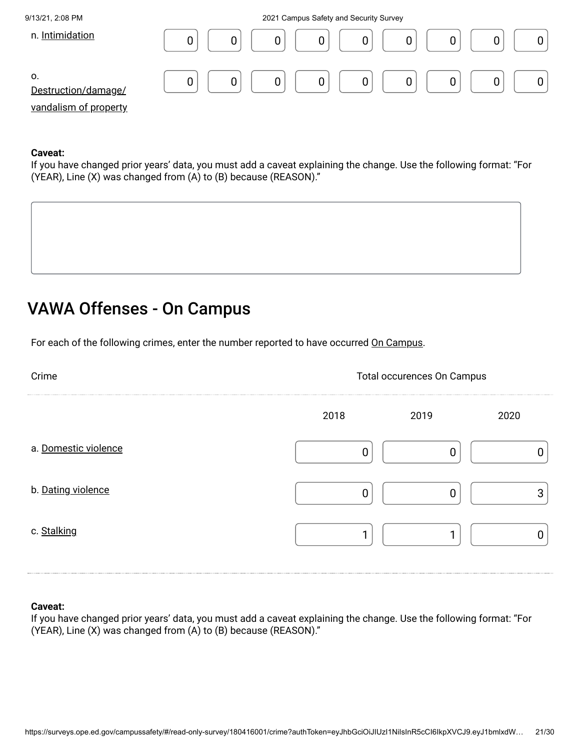

#### **Caveat:**

If you have changed prior years' data, you must add a caveat explaining the change. Use the following format: "For (YEAR), Line (X) was changed from (A) to (B) because (REASON)."



# VAWA Offenses - On Campus

For each of the following crimes, enter the number reported to have occurred On Campus.

| Crime                | <b>Total occurences On Campus</b> |      |      |
|----------------------|-----------------------------------|------|------|
|                      | 2018                              | 2019 | 2020 |
| a. Domestic violence |                                   |      |      |
| b. Dating violence   |                                   |      | ◠    |
| c. Stalking          |                                   |      |      |

#### **Caveat:**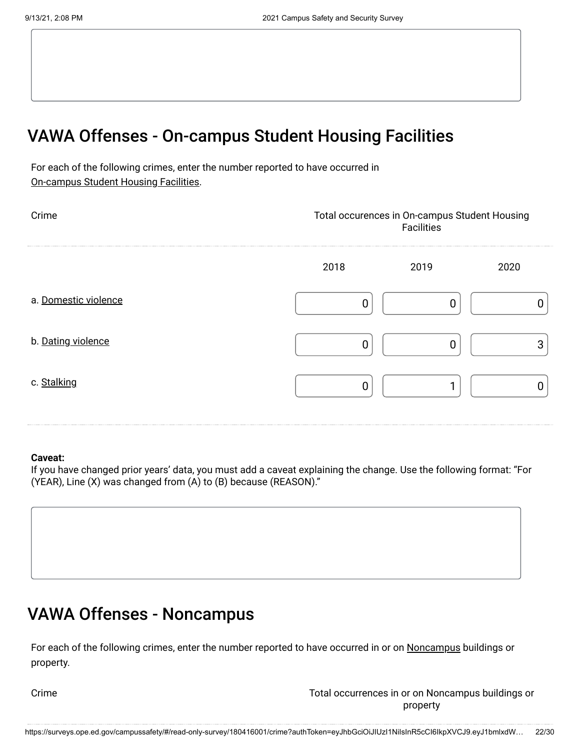# VAWA Offenses - On-campus Student Housing Facilities

For each of the following crimes, enter the number reported to have occurred in On-campus Student Housing Facilities.

| Crime                | Total occurences in On-campus Student Housing<br>Facilities |      |      |
|----------------------|-------------------------------------------------------------|------|------|
|                      | 2018                                                        | 2019 | 2020 |
| a. Domestic violence |                                                             |      |      |
| b. Dating violence   | ∩                                                           |      | ◠    |
| c. Stalking          |                                                             |      |      |

#### **Caveat:**

If you have changed prior years' data, you must add a caveat explaining the change. Use the following format: "For (YEAR), Line (X) was changed from (A) to (B) because (REASON)."



# VAWA Offenses - Noncampus

For each of the following crimes, enter the number reported to have occurred in or on <u>Noncampus</u> buildings or property.

Crime Total occurrences in or on Noncampus buildings or property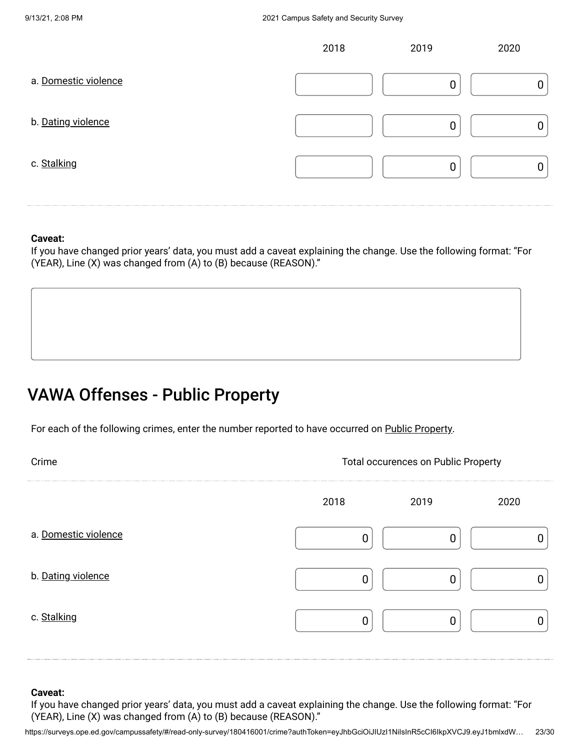|                      | 2018 | 2019 | 2020 |
|----------------------|------|------|------|
| a. Domestic violence |      |      |      |
| b. Dating violence   |      |      | 0    |
| c. Stalking          |      |      |      |

#### **Caveat:**

If you have changed prior years' data, you must add a caveat explaining the change. Use the following format: "For (YEAR), Line (X) was changed from (A) to (B) because (REASON)."

# VAWA Offenses - Public Property

For each of the following crimes, enter the number reported to have occurred on Public Property.

| Crime                | <b>Total occurences on Public Property</b> |      |      |
|----------------------|--------------------------------------------|------|------|
|                      | 2018                                       | 2019 | 2020 |
| a. Domestic violence | 0                                          |      |      |
| b. Dating violence   | C                                          |      |      |
| c. Stalking          |                                            | Ω    |      |
|                      |                                            |      |      |

#### **Caveat:**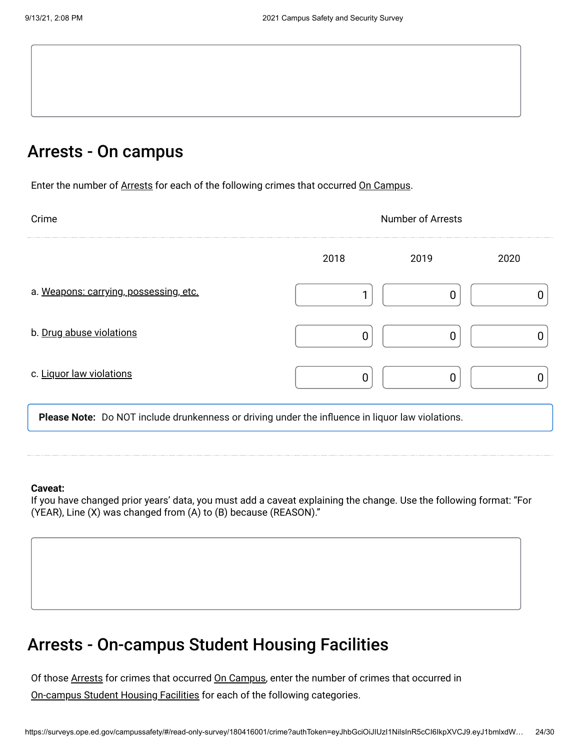### Arrests - On campus

Enter the number of Arrests for each of the following crimes that occurred On Campus.

| Crime                                  | <b>Number of Arrests</b> |              |  |
|----------------------------------------|--------------------------|--------------|--|
|                                        | 2018                     | 2019<br>2020 |  |
| a. Weapons: carrying, possessing, etc. |                          |              |  |
| b. Drug abuse violations               |                          |              |  |
| c. Liquor law violations               |                          |              |  |

**Please Note:** Do NOT include drunkenness or driving under the influence in liquor law violations.

#### **Caveat:**

If you have changed prior years' data, you must add a caveat explaining the change. Use the following format: "For (YEAR), Line (X) was changed from (A) to (B) because (REASON)."

### Arrests - On-campus Student Housing Facilities

Of those <u>Arrests</u> for crimes that occurred <u>On Campus</u>, enter the number of crimes that occurred in <u>On-campus Student Housing Facilities</u> for each of the following categories.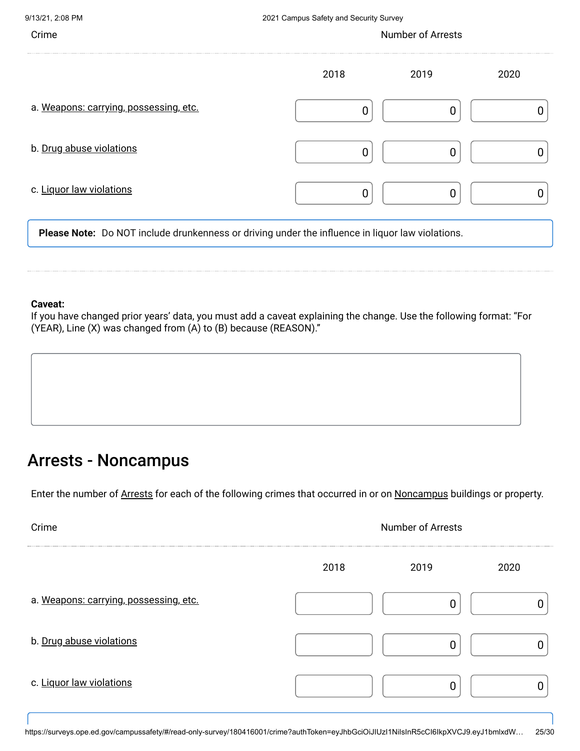| Crime                                                                                            | <b>Number of Arrests</b> |      |      |
|--------------------------------------------------------------------------------------------------|--------------------------|------|------|
|                                                                                                  | 2018                     | 2019 | 2020 |
| a. Weapons: carrying, possessing, etc.                                                           |                          |      |      |
| b. Drug abuse violations                                                                         |                          |      |      |
| c. Liquor law violations                                                                         |                          |      |      |
| Please Note: Do NOT include drunkenness or driving under the influence in liquor law violations. |                          |      |      |

#### **Caveat:**

If you have changed prior years' data, you must add a caveat explaining the change. Use the following format: "For (YEAR), Line (X) was changed from (A) to (B) because (REASON)."

### Arrests - Noncampus

Enter the number of Arrests for each of the following crimes that occurred in or on Noncampus buildings or property.

| Crime                                  | <b>Number of Arrests</b> |      |      |
|----------------------------------------|--------------------------|------|------|
|                                        | 2018                     | 2019 | 2020 |
| a. Weapons: carrying, possessing, etc. |                          |      |      |
| b. Drug abuse violations               |                          |      |      |
| c. Liquor law violations               |                          |      |      |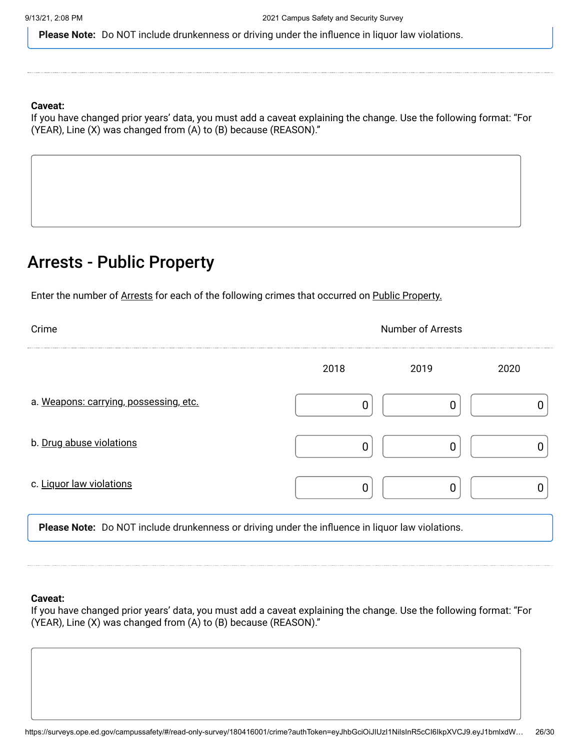**Please Note:** Do NOT include drunkenness or driving under the influence in liquor law violations.

#### **Caveat:**

If you have changed prior years' data, you must add a caveat explaining the change. Use the following format: "For (YEAR), Line (X) was changed from (A) to (B) because (REASON)."

### Arrests - Public Property

Enter the number of Arrests for each of the following crimes that occurred on Public Property.

| Crime                                                                                            | <b>Number of Arrests</b> |      |      |
|--------------------------------------------------------------------------------------------------|--------------------------|------|------|
|                                                                                                  | 2018                     | 2019 | 2020 |
| a. Weapons: carrying, possessing, etc.                                                           | 0                        |      |      |
| b. Drug abuse violations                                                                         | 0                        |      |      |
| c. Liquor law violations                                                                         |                          |      |      |
| Please Note: Do NOT include drunkenness or driving under the influence in liquor law violations. |                          |      |      |

#### **Caveat:**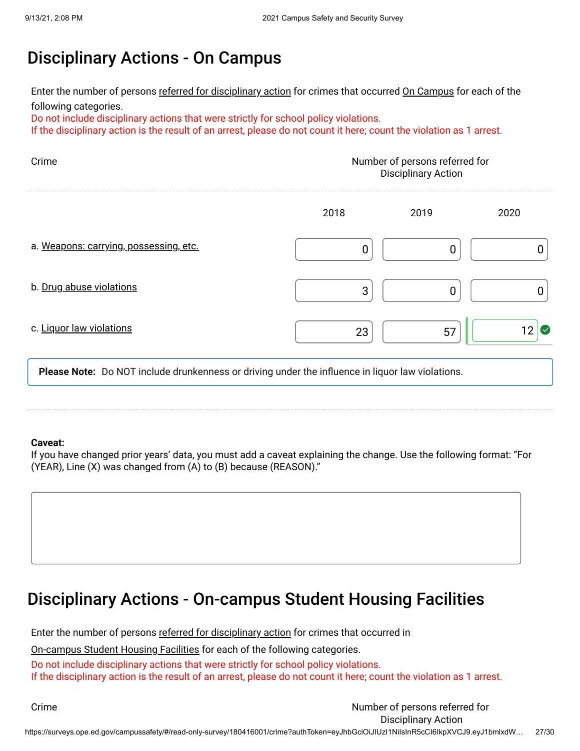# Disciplinary Actions - On Campus

Enter the number of persons <u>referred for disciplinary action</u> for crimes that occurred <u>On Campus</u> for each of the following categories.

Do not include disciplinary actions that were strictly for school policy violations.

If the disciplinary action is the result of an arrest, please do not count it here; count the violation as 1 arrest.

| Crime                                  | Number of persons referred for<br><b>Disciplinary Action</b> |      |      |
|----------------------------------------|--------------------------------------------------------------|------|------|
|                                        | 2018                                                         | 2019 | 2020 |
| a. Weapons: carrying, possessing, etc. |                                                              |      |      |
| b. Drug abuse violations               | 3                                                            |      |      |
| c. Liquor law violations               | 23                                                           | 57   | M    |

**Please Note:** Do NOT include drunkenness or driving under the influence in liquor law violations.

#### **Caveat:**

If you have changed prior years' data, you must add a caveat explaining the change. Use the following format: "For (YEAR), Line (X) was changed from (A) to (B) because (REASON)."



Enter the number of persons <u>referred for disciplinary action</u> for crimes that occurred in

<u>On-campus Student Housing Facilities</u> for each of the following categories.

Do not include disciplinary actions that were strictly for school policy violations. If the disciplinary action is the result of an arrest, please do not count it here; count the violation as 1 arrest.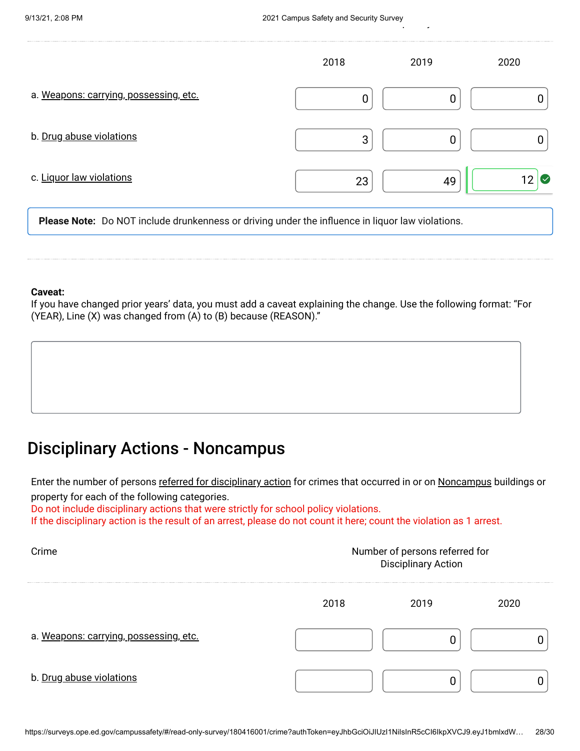$\frac{1}{2}$ 

|                                        | 2018 | 2019 | 2020                            |
|----------------------------------------|------|------|---------------------------------|
| a. Weapons: carrying, possessing, etc. | 0    | 0    |                                 |
| b. Drug abuse violations               | 3    | 0    |                                 |
| c. Liquor law violations               | 23   | 49   | 12<br>$\boldsymbol{\mathsf{I}}$ |

**Please Note:** Do NOT include drunkenness or driving under the influence in liquor law violations.

#### **Caveat:**

If you have changed prior years' data, you must add a caveat explaining the change. Use the following format: "For (YEAR), Line (X) was changed from (A) to (B) because (REASON)."

# Disciplinary Actions - Noncampus

Enter the number of persons <u>referred for disciplinary action</u> for crimes that occurred in or on <u>Noncampus</u> buildings or property for each of the following categories.

Do not include disciplinary actions that were strictly for school policy violations.

If the disciplinary action is the result of an arrest, please do not count it here; count the violation as 1 arrest.

| Crime                                  | Number of persons referred for<br><b>Disciplinary Action</b> |      |      |
|----------------------------------------|--------------------------------------------------------------|------|------|
|                                        | 2018                                                         | 2019 | 2020 |
| a. Weapons: carrying, possessing, etc. |                                                              |      |      |
| b. Drug abuse violations               |                                                              |      |      |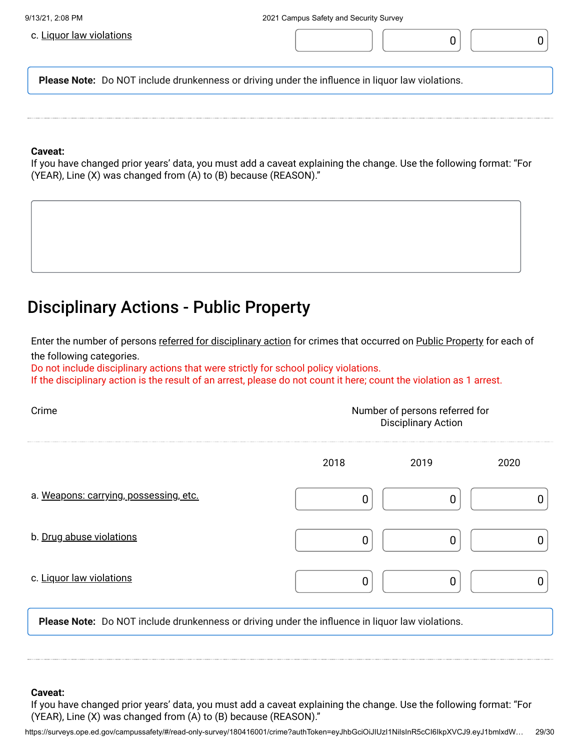

### **Caveat:**

If you have changed prior years' data, you must add a caveat explaining the change. Use the following format: "For (YEAR), Line (X) was changed from (A) to (B) because (REASON)."

### Disciplinary Actions - Public Property

Enter the number of persons <u>referred for disciplinary action</u> for crimes that occurred on <u>Public Property</u> for each of the following categories.

Do not include disciplinary actions that were strictly for school policy violations.

If the disciplinary action is the result of an arrest, please do not count it here; count the violation as 1 arrest.

| Crime                                  | Number of persons referred for<br><b>Disciplinary Action</b> |      |      |
|----------------------------------------|--------------------------------------------------------------|------|------|
|                                        | 2018                                                         | 2019 | 2020 |
| a. Weapons: carrying, possessing, etc. |                                                              |      |      |
| b. Drug abuse violations               |                                                              |      |      |
| c. Liquor law violations               |                                                              |      |      |
|                                        |                                                              |      |      |

**Please Note:** Do NOT include drunkenness or driving under the influence in liquor law violations.

#### **Caveat:**